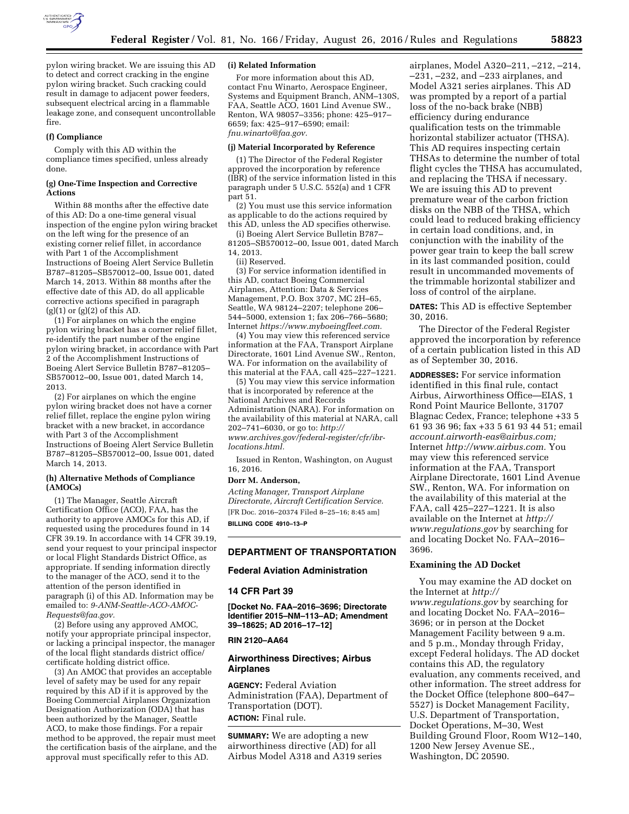

pylon wiring bracket. We are issuing this AD to detect and correct cracking in the engine pylon wiring bracket. Such cracking could result in damage to adjacent power feeders, subsequent electrical arcing in a flammable leakage zone, and consequent uncontrollable fire.

#### **(f) Compliance**

Comply with this AD within the compliance times specified, unless already done.

### **(g) One-Time Inspection and Corrective Actions**

Within 88 months after the effective date of this AD: Do a one-time general visual inspection of the engine pylon wiring bracket on the left wing for the presence of an existing corner relief fillet, in accordance with Part 1 of the Accomplishment Instructions of Boeing Alert Service Bulletin B787–81205–SB570012–00, Issue 001, dated March 14, 2013. Within 88 months after the effective date of this AD, do all applicable corrective actions specified in paragraph  $(g)(1)$  or  $(g)(2)$  of this AD.

(1) For airplanes on which the engine pylon wiring bracket has a corner relief fillet, re-identify the part number of the engine pylon wiring bracket, in accordance with Part 2 of the Accomplishment Instructions of Boeing Alert Service Bulletin B787–81205– SB570012–00, Issue 001, dated March 14, 2013.

(2) For airplanes on which the engine pylon wiring bracket does not have a corner relief fillet, replace the engine pylon wiring bracket with a new bracket, in accordance with Part 3 of the Accomplishment Instructions of Boeing Alert Service Bulletin B787–81205–SB570012–00, Issue 001, dated March 14, 2013.

### **(h) Alternative Methods of Compliance (AMOCs)**

(1) The Manager, Seattle Aircraft Certification Office (ACO), FAA, has the authority to approve AMOCs for this AD, if requested using the procedures found in 14 CFR 39.19. In accordance with 14 CFR 39.19, send your request to your principal inspector or local Flight Standards District Office, as appropriate. If sending information directly to the manager of the ACO, send it to the attention of the person identified in paragraph (i) of this AD. Information may be emailed to: *[9-ANM-Seattle-ACO-AMOC-](mailto:9-ANM-Seattle-ACO-AMOC-Requests@faa.gov)[Requests@faa.gov.](mailto:9-ANM-Seattle-ACO-AMOC-Requests@faa.gov)* 

(2) Before using any approved AMOC, notify your appropriate principal inspector, or lacking a principal inspector, the manager of the local flight standards district office/ certificate holding district office.

(3) An AMOC that provides an acceptable level of safety may be used for any repair required by this AD if it is approved by the Boeing Commercial Airplanes Organization Designation Authorization (ODA) that has been authorized by the Manager, Seattle ACO, to make those findings. For a repair method to be approved, the repair must meet the certification basis of the airplane, and the approval must specifically refer to this AD.

### **(i) Related Information**

For more information about this AD, contact Fnu Winarto, Aerospace Engineer, Systems and Equipment Branch, ANM–130S, FAA, Seattle ACO, 1601 Lind Avenue SW., Renton, WA 98057–3356; phone: 425–917– 6659; fax: 425–917–6590; email: *[fnu.winarto@faa.gov.](mailto:fnu.winarto@faa.gov)* 

### **(j) Material Incorporated by Reference**

(1) The Director of the Federal Register approved the incorporation by reference (IBR) of the service information listed in this paragraph under 5 U.S.C. 552(a) and 1 CFR part 51.

(2) You must use this service information as applicable to do the actions required by this AD, unless the AD specifies otherwise.

(i) Boeing Alert Service Bulletin B787– 81205–SB570012–00, Issue 001, dated March 14, 2013.

(ii) Reserved.

(3) For service information identified in this AD, contact Boeing Commercial Airplanes, Attention: Data & Services Management, P.O. Box 3707, MC 2H–65, Seattle, WA 98124–2207; telephone 206– 544–5000, extension 1; fax 206–766–5680; Internet *[https://www.myboeingfleet.com.](https://www.myboeingfleet.com)* 

(4) You may view this referenced service information at the FAA, Transport Airplane Directorate, 1601 Lind Avenue SW., Renton, WA. For information on the availability of this material at the FAA, call 425–227–1221.

(5) You may view this service information that is incorporated by reference at the National Archives and Records Administration (NARA). For information on the availability of this material at NARA, call 202–741–6030, or go to: *[http://](http://www.archives.gov/federal-register/cfr/ibr-locations.html) [www.archives.gov/federal-register/cfr/ibr](http://www.archives.gov/federal-register/cfr/ibr-locations.html)[locations.html.](http://www.archives.gov/federal-register/cfr/ibr-locations.html)* 

Issued in Renton, Washington, on August 16, 2016.

#### **Dorr M. Anderson,**

*Acting Manager, Transport Airplane Directorate, Aircraft Certification Service.*  [FR Doc. 2016–20374 Filed 8–25–16; 8:45 am] **BILLING CODE 4910–13–P** 

# **DEPARTMENT OF TRANSPORTATION**

# **Federal Aviation Administration**

#### **14 CFR Part 39**

**[Docket No. FAA–2016–3696; Directorate Identifier 2015–NM–113–AD; Amendment 39–18625; AD 2016–17–12]** 

## **RIN 2120–AA64**

## **Airworthiness Directives; Airbus Airplanes**

**AGENCY:** Federal Aviation Administration (FAA), Department of Transportation (DOT). **ACTION:** Final rule.

**SUMMARY:** We are adopting a new airworthiness directive (AD) for all Airbus Model A318 and A319 series airplanes, Model A320–211, –212, –214, –231, –232, and –233 airplanes, and Model A321 series airplanes. This AD was prompted by a report of a partial loss of the no-back brake (NBB) efficiency during endurance qualification tests on the trimmable horizontal stabilizer actuator (THSA). This AD requires inspecting certain THSAs to determine the number of total flight cycles the THSA has accumulated, and replacing the THSA if necessary. We are issuing this AD to prevent premature wear of the carbon friction disks on the NBB of the THSA, which could lead to reduced braking efficiency in certain load conditions, and, in conjunction with the inability of the power gear train to keep the ball screw in its last commanded position, could result in uncommanded movements of the trimmable horizontal stabilizer and loss of control of the airplane.

**DATES:** This AD is effective September 30, 2016.

The Director of the Federal Register approved the incorporation by reference of a certain publication listed in this AD as of September 30, 2016.

**ADDRESSES:** For service information identified in this final rule, contact Airbus, Airworthiness Office—EIAS, 1 Rond Point Maurice Bellonte, 31707 Blagnac Cedex, France; telephone +33 5 61 93 36 96; fax +33 5 61 93 44 51; email *[account.airworth-eas@airbus.com;](mailto:account.airworth-eas@airbus.com)*  Internet *[http://www.airbus.com.](http://www.airbus.com)* You may view this referenced service information at the FAA, Transport Airplane Directorate, 1601 Lind Avenue SW., Renton, WA. For information on the availability of this material at the FAA, call 425–227–1221. It is also available on the Internet at *[http://](http://www.regulations.gov) [www.regulations.gov](http://www.regulations.gov)* by searching for and locating Docket No. FAA–2016– 3696.

## **Examining the AD Docket**

You may examine the AD docket on the Internet at *[http://](http://www.regulations.gov) [www.regulations.gov](http://www.regulations.gov)* by searching for and locating Docket No. FAA–2016– 3696; or in person at the Docket Management Facility between 9 a.m. and 5 p.m., Monday through Friday, except Federal holidays. The AD docket contains this AD, the regulatory evaluation, any comments received, and other information. The street address for the Docket Office (telephone 800–647– 5527) is Docket Management Facility, U.S. Department of Transportation, Docket Operations, M–30, West Building Ground Floor, Room W12–140, 1200 New Jersey Avenue SE., Washington, DC 20590.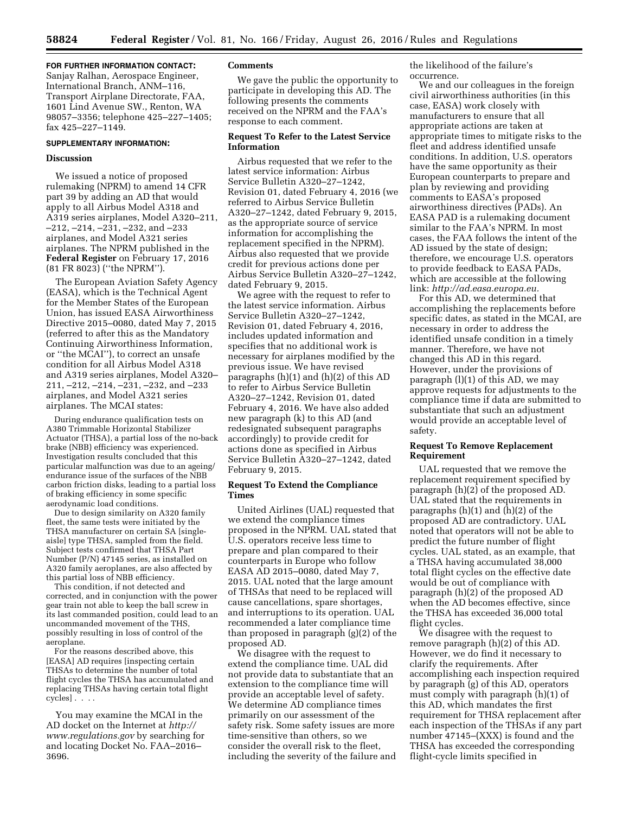## **FOR FURTHER INFORMATION CONTACT:**

Sanjay Ralhan, Aerospace Engineer, International Branch, ANM–116, Transport Airplane Directorate, FAA, 1601 Lind Avenue SW., Renton, WA 98057–3356; telephone 425–227–1405; fax 425–227–1149.

## **SUPPLEMENTARY INFORMATION:**

## **Discussion**

We issued a notice of proposed rulemaking (NPRM) to amend 14 CFR part 39 by adding an AD that would apply to all Airbus Model A318 and A319 series airplanes, Model A320–211, –212, –214, –231, –232, and –233 airplanes, and Model A321 series airplanes. The NPRM published in the **Federal Register** on February 17, 2016 (81 FR 8023) (''the NPRM'').

The European Aviation Safety Agency (EASA), which is the Technical Agent for the Member States of the European Union, has issued EASA Airworthiness Directive 2015–0080, dated May 7, 2015 (referred to after this as the Mandatory Continuing Airworthiness Information, or ''the MCAI''), to correct an unsafe condition for all Airbus Model A318 and A319 series airplanes, Model A320– 211, –212, –214, –231, –232, and –233 airplanes, and Model A321 series airplanes. The MCAI states:

During endurance qualification tests on A380 Trimmable Horizontal Stabilizer Actuator (THSA), a partial loss of the no-back brake (NBB) efficiency was experienced. Investigation results concluded that this particular malfunction was due to an ageing/ endurance issue of the surfaces of the NBB carbon friction disks, leading to a partial loss of braking efficiency in some specific aerodynamic load conditions.

Due to design similarity on A320 family fleet, the same tests were initiated by the THSA manufacturer on certain SA [singleaisle] type THSA, sampled from the field. Subject tests confirmed that THSA Part Number (P/N) 47145 series, as installed on A320 family aeroplanes, are also affected by this partial loss of NBB efficiency.

This condition, if not detected and corrected, and in conjunction with the power gear train not able to keep the ball screw in its last commanded position, could lead to an uncommanded movement of the THS, possibly resulting in loss of control of the aeroplane.

For the reasons described above, this [EASA] AD requires [inspecting certain THSAs to determine the number of total flight cycles the THSA has accumulated and replacing THSAs having certain total flight cycles] . . . .

You may examine the MCAI in the AD docket on the Internet at *[http://](http://www.regulations.gov) [www.regulations.gov](http://www.regulations.gov)* by searching for and locating Docket No. FAA–2016– 3696.

### **Comments**

We gave the public the opportunity to participate in developing this AD. The following presents the comments received on the NPRM and the FAA's response to each comment.

## **Request To Refer to the Latest Service Information**

Airbus requested that we refer to the latest service information: Airbus Service Bulletin A320–27–1242, Revision 01, dated February 4, 2016 (we referred to Airbus Service Bulletin A320–27–1242, dated February 9, 2015, as the appropriate source of service information for accomplishing the replacement specified in the NPRM). Airbus also requested that we provide credit for previous actions done per Airbus Service Bulletin A320–27–1242, dated February 9, 2015.

We agree with the request to refer to the latest service information. Airbus Service Bulletin A320–27–1242, Revision 01, dated February 4, 2016, includes updated information and specifies that no additional work is necessary for airplanes modified by the previous issue. We have revised paragraphs (h)(1) and (h)(2) of this AD to refer to Airbus Service Bulletin A320–27–1242, Revision 01, dated February 4, 2016. We have also added new paragraph (k) to this AD (and redesignated subsequent paragraphs accordingly) to provide credit for actions done as specified in Airbus Service Bulletin A320–27–1242, dated February 9, 2015.

## **Request To Extend the Compliance Times**

United Airlines (UAL) requested that we extend the compliance times proposed in the NPRM. UAL stated that U.S. operators receive less time to prepare and plan compared to their counterparts in Europe who follow EASA AD 2015–0080, dated May 7, 2015. UAL noted that the large amount of THSAs that need to be replaced will cause cancellations, spare shortages, and interruptions to its operation. UAL recommended a later compliance time than proposed in paragraph (g)(2) of the proposed AD.

We disagree with the request to extend the compliance time. UAL did not provide data to substantiate that an extension to the compliance time will provide an acceptable level of safety. We determine AD compliance times primarily on our assessment of the safety risk. Some safety issues are more time-sensitive than others, so we consider the overall risk to the fleet, including the severity of the failure and the likelihood of the failure's occurrence.

We and our colleagues in the foreign civil airworthiness authorities (in this case, EASA) work closely with manufacturers to ensure that all appropriate actions are taken at appropriate times to mitigate risks to the fleet and address identified unsafe conditions. In addition, U.S. operators have the same opportunity as their European counterparts to prepare and plan by reviewing and providing comments to EASA's proposed airworthiness directives (PADs). An EASA PAD is a rulemaking document similar to the FAA's NPRM. In most cases, the FAA follows the intent of the AD issued by the state of design; therefore, we encourage U.S. operators to provide feedback to EASA PADs, which are accessible at the following link: *[http://ad.easa.europa.eu.](http://ad.easa.europa.eu)* 

For this AD, we determined that accomplishing the replacements before specific dates, as stated in the MCAI, are necessary in order to address the identified unsafe condition in a timely manner. Therefore, we have not changed this AD in this regard. However, under the provisions of paragraph (l)(1) of this AD, we may approve requests for adjustments to the compliance time if data are submitted to substantiate that such an adjustment would provide an acceptable level of safety.

## **Request To Remove Replacement Requirement**

UAL requested that we remove the replacement requirement specified by paragraph (h)(2) of the proposed AD. UAL stated that the requirements in paragraphs  $(h)(1)$  and  $(h)(2)$  of the proposed AD are contradictory. UAL noted that operators will not be able to predict the future number of flight cycles. UAL stated, as an example, that a THSA having accumulated 38,000 total flight cycles on the effective date would be out of compliance with paragraph (h)(2) of the proposed AD when the AD becomes effective, since the THSA has exceeded 36,000 total flight cycles.

We disagree with the request to remove paragraph (h)(2) of this AD. However, we do find it necessary to clarify the requirements. After accomplishing each inspection required by paragraph (g) of this AD, operators must comply with paragraph (h)(1) of this AD, which mandates the first requirement for THSA replacement after each inspection of the THSAs if any part number 47145–(XXX) is found and the THSA has exceeded the corresponding flight-cycle limits specified in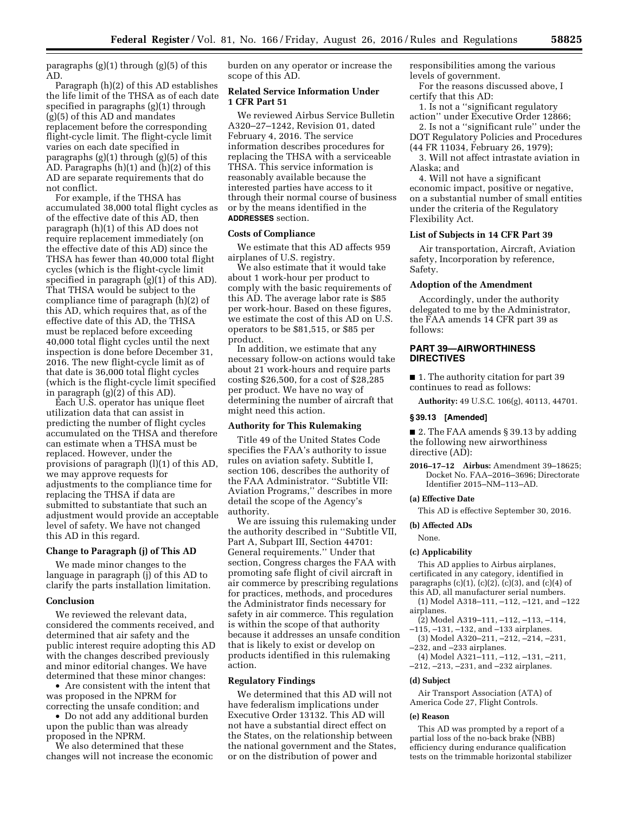paragraphs (g)(1) through (g)(5) of this AD.

Paragraph (h)(2) of this AD establishes the life limit of the THSA as of each date specified in paragraphs (g)(1) through (g)(5) of this AD and mandates replacement before the corresponding flight-cycle limit. The flight-cycle limit varies on each date specified in paragraphs (g)(1) through (g)(5) of this AD. Paragraphs (h)(1) and (h)(2) of this AD are separate requirements that do not conflict.

For example, if the THSA has accumulated 38,000 total flight cycles as of the effective date of this AD, then paragraph (h)(1) of this AD does not require replacement immediately (on the effective date of this AD) since the THSA has fewer than 40,000 total flight cycles (which is the flight-cycle limit specified in paragraph (g)(1) of this AD). That THSA would be subject to the compliance time of paragraph (h)(2) of this AD, which requires that, as of the effective date of this AD, the THSA must be replaced before exceeding 40,000 total flight cycles until the next inspection is done before December 31, 2016. The new flight-cycle limit as of that date is 36,000 total flight cycles (which is the flight-cycle limit specified in paragraph (g)(2) of this AD).

Each U.S. operator has unique fleet utilization data that can assist in predicting the number of flight cycles accumulated on the THSA and therefore can estimate when a THSA must be replaced. However, under the provisions of paragraph (l)(1) of this AD, we may approve requests for adjustments to the compliance time for replacing the THSA if data are submitted to substantiate that such an adjustment would provide an acceptable level of safety. We have not changed this AD in this regard.

## **Change to Paragraph (j) of This AD**

We made minor changes to the language in paragraph (j) of this AD to clarify the parts installation limitation.

### **Conclusion**

We reviewed the relevant data, considered the comments received, and determined that air safety and the public interest require adopting this AD with the changes described previously and minor editorial changes. We have determined that these minor changes:

• Are consistent with the intent that was proposed in the NPRM for correcting the unsafe condition; and

• Do not add any additional burden upon the public than was already proposed in the NPRM.

We also determined that these changes will not increase the economic burden on any operator or increase the scope of this AD.

## **Related Service Information Under 1 CFR Part 51**

We reviewed Airbus Service Bulletin A320–27–1242, Revision 01, dated February 4, 2016. The service information describes procedures for replacing the THSA with a serviceable THSA. This service information is reasonably available because the interested parties have access to it through their normal course of business or by the means identified in the **ADDRESSES** section.

#### **Costs of Compliance**

We estimate that this AD affects 959 airplanes of U.S. registry.

We also estimate that it would take about 1 work-hour per product to comply with the basic requirements of this AD. The average labor rate is \$85 per work-hour. Based on these figures, we estimate the cost of this AD on U.S. operators to be \$81,515, or \$85 per product.

In addition, we estimate that any necessary follow-on actions would take about 21 work-hours and require parts costing \$26,500, for a cost of \$28,285 per product. We have no way of determining the number of aircraft that might need this action.

### **Authority for This Rulemaking**

Title 49 of the United States Code specifies the FAA's authority to issue rules on aviation safety. Subtitle I, section 106, describes the authority of the FAA Administrator. ''Subtitle VII: Aviation Programs,'' describes in more detail the scope of the Agency's authority.

We are issuing this rulemaking under the authority described in ''Subtitle VII, Part A, Subpart III, Section 44701: General requirements.'' Under that section, Congress charges the FAA with promoting safe flight of civil aircraft in air commerce by prescribing regulations for practices, methods, and procedures the Administrator finds necessary for safety in air commerce. This regulation is within the scope of that authority because it addresses an unsafe condition that is likely to exist or develop on products identified in this rulemaking action.

### **Regulatory Findings**

We determined that this AD will not have federalism implications under Executive Order 13132. This AD will not have a substantial direct effect on the States, on the relationship between the national government and the States, or on the distribution of power and

responsibilities among the various levels of government.

For the reasons discussed above, I certify that this AD:

1. Is not a ''significant regulatory action'' under Executive Order 12866;

2. Is not a ''significant rule'' under the DOT Regulatory Policies and Procedures (44 FR 11034, February 26, 1979);

3. Will not affect intrastate aviation in Alaska; and

4. Will not have a significant economic impact, positive or negative, on a substantial number of small entities under the criteria of the Regulatory Flexibility Act.

## **List of Subjects in 14 CFR Part 39**

Air transportation, Aircraft, Aviation safety, Incorporation by reference, Safety.

## **Adoption of the Amendment**

Accordingly, under the authority delegated to me by the Administrator, the FAA amends 14 CFR part 39 as follows:

# **PART 39—AIRWORTHINESS DIRECTIVES**

■ 1. The authority citation for part 39 continues to read as follows:

**Authority:** 49 U.S.C. 106(g), 40113, 44701.

### **§ 39.13 [Amended]**

■ 2. The FAA amends § 39.13 by adding the following new airworthiness directive (AD):

**2016–17–12 Airbus:** Amendment 39–18625; Docket No. FAA–2016–3696; Directorate Identifier 2015–NM–113–AD.

#### **(a) Effective Date**

This AD is effective September 30, 2016.

**(b) Affected ADs** 

#### None.

#### **(c) Applicability**

This AD applies to Airbus airplanes, certificated in any category, identified in paragraphs  $(c)(1)$ ,  $(c)(2)$ ,  $(c)(3)$ , and  $(c)(4)$  of this AD, all manufacturer serial numbers.

(1) Model A318–111, –112, –121, and –122 airplanes.

- (2) Model A319–111, –112, –113, –114,
- –115, –131, –132, and –133 airplanes. (3) Model A320–211, –212, –214, –231,
- –232, and –233 airplanes.
- (4) Model A321–111, –112, –131, –211,
- –212, –213, –231, and –232 airplanes.

#### **(d) Subject**

Air Transport Association (ATA) of America Code 27, Flight Controls.

#### **(e) Reason**

This AD was prompted by a report of a partial loss of the no-back brake (NBB) efficiency during endurance qualification tests on the trimmable horizontal stabilizer